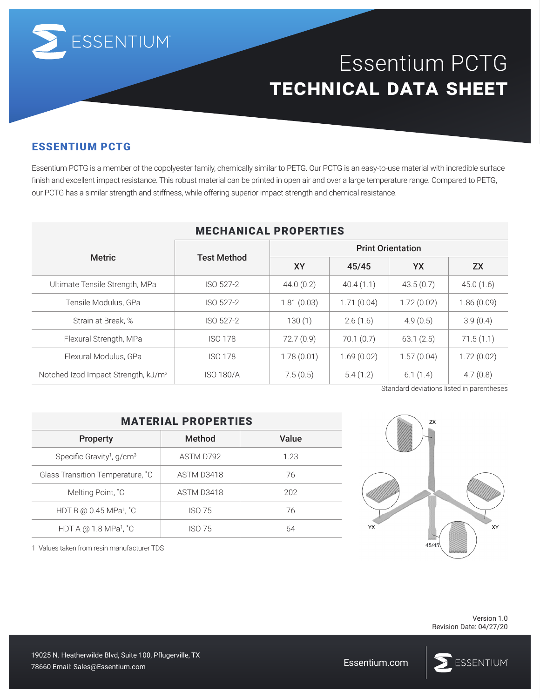

# Essentium PCTG **technical data sheet**

### ESSENTIUM PCTG

Essentium PCTG is a member of the copolyester family, chemically similar to PETG. Our PCTG is an easy-to-use material with incredible surface finish and excellent impact resistance. This robust material can be printed in open air and over a large temperature range. Compared to PETG, our PCTG has a similar strength and stiffness, while offering superior impact strength and chemical resistance.

| MECHANICAL FRUFERIIES                           |                    |                          |            |            |                                           |  |  |
|-------------------------------------------------|--------------------|--------------------------|------------|------------|-------------------------------------------|--|--|
| <b>Metric</b>                                   | <b>Test Method</b> | <b>Print Orientation</b> |            |            |                                           |  |  |
|                                                 |                    | <b>XY</b>                | 45/45      | YX         | <b>ZX</b>                                 |  |  |
| Ultimate Tensile Strength, MPa                  | ISO 527-2          | 44.0(0.2)                | 40.4(1.1)  | 43.5(0.7)  | 45.0(1.6)                                 |  |  |
| Tensile Modulus, GPa                            | ISO 527-2          | 1.81(0.03)               | 1.71(0.04) | 1.72(0.02) | 1.86(0.09)                                |  |  |
| Strain at Break, %                              | ISO 527-2          | 130(1)                   | 2.6(1.6)   | 4.9(0.5)   | 3.9(0.4)                                  |  |  |
| Flexural Strength, MPa                          | <b>ISO 178</b>     | 72.7(0.9)                | 70.1(0.7)  | 63.1(2.5)  | 71.5(1.1)                                 |  |  |
| Flexural Modulus, GPa                           | <b>ISO 178</b>     | 1.78(0.01)               | 1.69(0.02) | 1.57(0.04) | 1.72(0.02)                                |  |  |
| Notched Izod Impact Strength, kJ/m <sup>2</sup> | <b>ISO 180/A</b>   | 7.5(0.5)                 | 5.4(1.2)   | 6.1(1.4)   | 4.7(0.8)                                  |  |  |
|                                                 |                    |                          |            |            | Standard deviations listed in parentheses |  |  |

#### MECHANICAL PROPERTIES

| <b>MATERIAL PROPERTIES</b>                     |               |       |  |  |  |  |
|------------------------------------------------|---------------|-------|--|--|--|--|
| <b>Property</b>                                | Method        | Value |  |  |  |  |
| Specific Gravity <sup>1</sup> , $g/cm3$        | ASTM D792     | 1.23  |  |  |  |  |
| Glass Transition Temperature, °C               | ASTM D3418    | 76    |  |  |  |  |
| Melting Point, °C                              | ASTM D3418    | 202   |  |  |  |  |
| HDT B @ $0.45$ MPa <sup>1</sup> , $^{\circ}$ C | <b>ISO 75</b> | 76    |  |  |  |  |
| HDT A @ 1.8 MPa <sup>1</sup> , $^{\circ}$ C    | ISO 75        | 64    |  |  |  |  |

1 Values taken from resin manufacturer TDS

 $7x$ **XY**  $45/4$ 

> Version 1.0 Revision Date: 04/27/20